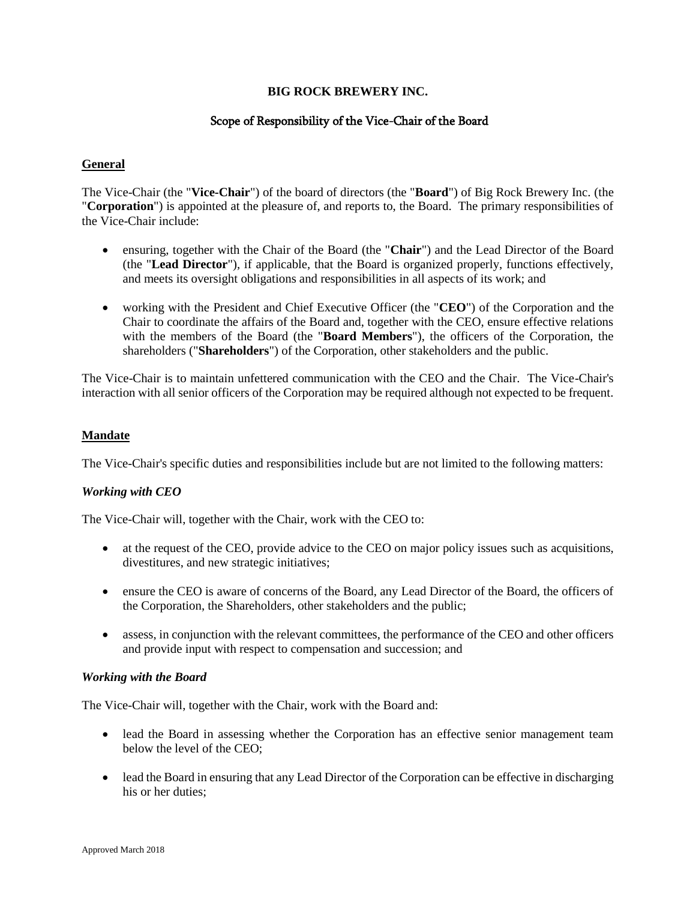## **BIG ROCK BREWERY INC.**

## Scope of Responsibility of the Vice-Chair of the Board

#### **General**

The Vice-Chair (the "**Vice-Chair**") of the board of directors (the "**Board**") of Big Rock Brewery Inc. (the "**Corporation**") is appointed at the pleasure of, and reports to, the Board. The primary responsibilities of the Vice-Chair include:

- ensuring, together with the Chair of the Board (the "**Chair**") and the Lead Director of the Board (the "**Lead Director**"), if applicable, that the Board is organized properly, functions effectively, and meets its oversight obligations and responsibilities in all aspects of its work; and
- working with the President and Chief Executive Officer (the "**CEO**") of the Corporation and the Chair to coordinate the affairs of the Board and, together with the CEO, ensure effective relations with the members of the Board (the "**Board Members**"), the officers of the Corporation, the shareholders ("**Shareholders**") of the Corporation, other stakeholders and the public.

The Vice-Chair is to maintain unfettered communication with the CEO and the Chair. The Vice-Chair's interaction with all senior officers of the Corporation may be required although not expected to be frequent.

#### **Mandate**

The Vice-Chair's specific duties and responsibilities include but are not limited to the following matters:

## *Working with CEO*

The Vice-Chair will, together with the Chair, work with the CEO to:

- at the request of the CEO, provide advice to the CEO on major policy issues such as acquisitions, divestitures, and new strategic initiatives;
- ensure the CEO is aware of concerns of the Board, any Lead Director of the Board, the officers of the Corporation, the Shareholders, other stakeholders and the public;
- assess, in conjunction with the relevant committees, the performance of the CEO and other officers and provide input with respect to compensation and succession; and

#### *Working with the Board*

The Vice-Chair will, together with the Chair, work with the Board and:

- lead the Board in assessing whether the Corporation has an effective senior management team below the level of the CEO;
- lead the Board in ensuring that any Lead Director of the Corporation can be effective in discharging his or her duties;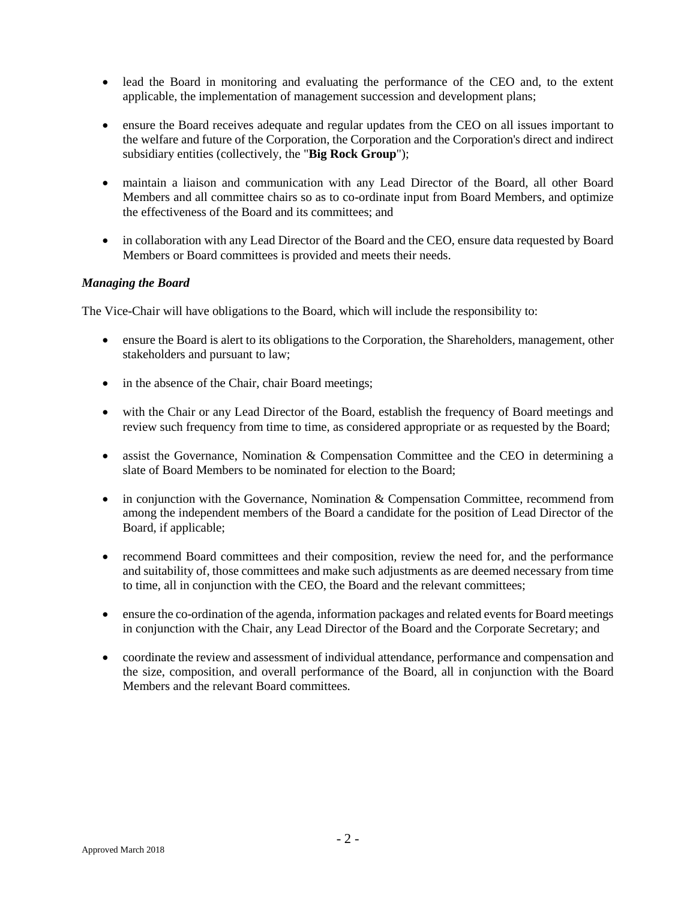- lead the Board in monitoring and evaluating the performance of the CEO and, to the extent applicable, the implementation of management succession and development plans;
- ensure the Board receives adequate and regular updates from the CEO on all issues important to the welfare and future of the Corporation, the Corporation and the Corporation's direct and indirect subsidiary entities (collectively, the "**Big Rock Group**");
- maintain a liaison and communication with any Lead Director of the Board, all other Board Members and all committee chairs so as to co-ordinate input from Board Members, and optimize the effectiveness of the Board and its committees; and
- in collaboration with any Lead Director of the Board and the CEO, ensure data requested by Board Members or Board committees is provided and meets their needs.

## *Managing the Board*

The Vice-Chair will have obligations to the Board, which will include the responsibility to:

- ensure the Board is alert to its obligations to the Corporation, the Shareholders, management, other stakeholders and pursuant to law;
- in the absence of the Chair, chair Board meetings;
- with the Chair or any Lead Director of the Board, establish the frequency of Board meetings and review such frequency from time to time, as considered appropriate or as requested by the Board;
- assist the Governance, Nomination & Compensation Committee and the CEO in determining a slate of Board Members to be nominated for election to the Board;
- in conjunction with the Governance, Nomination & Compensation Committee, recommend from among the independent members of the Board a candidate for the position of Lead Director of the Board, if applicable;
- recommend Board committees and their composition, review the need for, and the performance and suitability of, those committees and make such adjustments as are deemed necessary from time to time, all in conjunction with the CEO, the Board and the relevant committees;
- ensure the co-ordination of the agenda, information packages and related events for Board meetings in conjunction with the Chair, any Lead Director of the Board and the Corporate Secretary; and
- coordinate the review and assessment of individual attendance, performance and compensation and the size, composition, and overall performance of the Board, all in conjunction with the Board Members and the relevant Board committees.